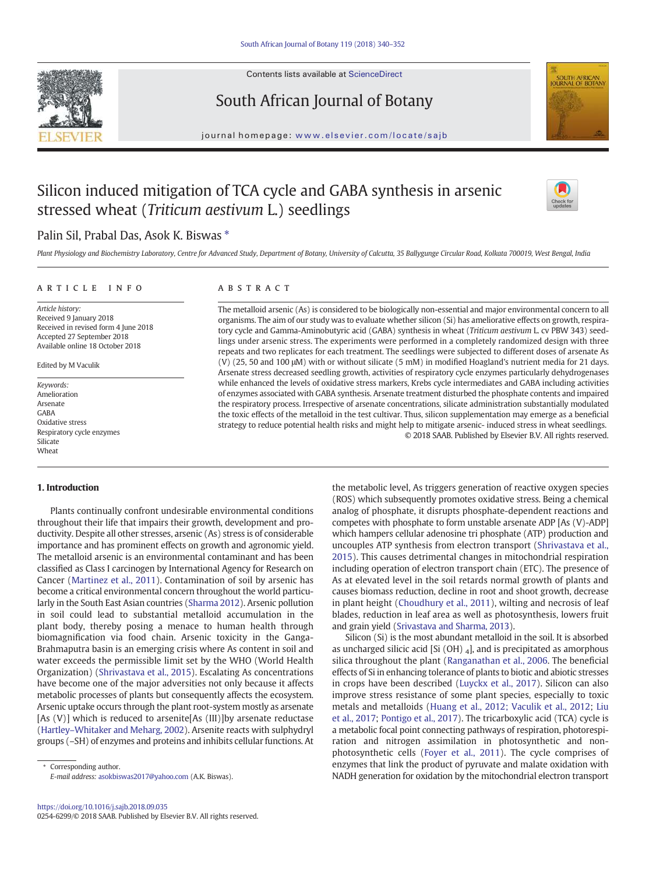

Contents lists available at ScienceDirect

# South African Journal of Botany



journal homepage: www.elsevier.com/locate/sajb

# Silicon induced mitigation of TCA cycle and GABA synthesis in arsenic stressed wheat (*Triticum aestivum* L.) seedlings



# Palin Sil, Prabal Das, Asok K. Biswas  $*$

*Plant Physiology and Biochemistry Laboratory, Centre for Advanced Study, Department of Botany, University of Calcutta, 35 Ballygunge Circular Road, Kolkata 700019, West Bengal, India*

#### article info abstract

*Article history:* Received 9 January 2018 Received in revised form 4 June 2018 Accepted 27 September 2018 Available online 18 October 2018

Edited by M Vaculik

*Keywords:* Amelioration Arsenate GABA Oxidative stress Respiratory cycle enzymes Silicate **Wheat** 

# 1. Introduction

Plants continually confront undesirable environmental conditions throughout their life that impairs their growth, development and productivity. Despite all other stresses, arsenic (As) stress is of considerable importance and has prominent effects on growth and agronomic yield. The metalloid arsenic is an environmental contaminant and has been classified as Class I carcinogen by International Agency for Research on Cancer (Martinez et al., 2011). Contamination of soil by arsenic has become a critical environmental concern throughout the world particularly in the South East Asian countries (Sharma 2012). Arsenic pollution in soil could lead to substantial metalloid accumulation in the plant body, thereby posing a menace to human health through biomagnification via food chain. Arsenic toxicity in the Ganga-Brahmaputra basin is an emerging crisis where As content in soil and water exceeds the permissible limit set by the WHO (World Health Organization) (Shrivastava et al., 2015). Escalating As concentrations have become one of the major adversities not only because it affects metabolic processes of plants but consequently affects the ecosystem. Arsenic uptake occurs through the plant root-system mostly as arsenate [As (V)] which is reduced to arsenite[As (III)]by arsenate reductase (Hartley–Whitaker and Meharg, 2002). Arsenite reacts with sulphydryl groups (–SH) of enzymes and proteins and inhibits cellular functions. At

The metalloid arsenic (As) is considered to be biologically non-essential and major environmental concern to all organisms. The aim of our study was to evaluate whether silicon (Si) has ameliorative effects on growth, respiratory cycle and Gamma-Aminobutyric acid (GABA) synthesis in wheat (*Triticum aestivum* L. cv PBW 343) seedlings under arsenic stress. The experiments were performed in a completely randomized design with three repeats and two replicates for each treatment. The seedlings were subjected to different doses of arsenate As (V) (25, 50 and 100 μM) with or without silicate (5 mM) in modified Hoagland's nutrient media for 21 days. Arsenate stress decreased seedling growth, activities of respiratory cycle enzymes particularly dehydrogenases while enhanced the levels of oxidative stress markers, Krebs cycle intermediates and GABA including activities of enzymes associated with GABA synthesis. Arsenate treatment disturbed the phosphate contents and impaired the respiratory process. Irrespective of arsenate concentrations, silicate administration substantially modulated the toxic effects of the metalloid in the test cultivar. Thus, silicon supplementation may emerge as a beneficial strategy to reduce potential health risks and might help to mitigate arsenic- induced stress in wheat seedlings. © 2018 SAAB. Published by Elsevier B.V. All rights reserved.

> the metabolic level, As triggers generation of reactive oxygen species (ROS) which subsequently promotes oxidative stress. Being a chemical analog of phosphate, it disrupts phosphate-dependent reactions and competes with phosphate to form unstable arsenate ADP [As (V)-ADP] which hampers cellular adenosine tri phosphate (ATP) production and uncouples ATP synthesis from electron transport (Shrivastava et al., 2015). This causes detrimental changes in mitochondrial respiration including operation of electron transport chain (ETC). The presence of As at elevated level in the soil retards normal growth of plants and causes biomass reduction, decline in root and shoot growth, decrease in plant height (Choudhury et al., 2011), wilting and necrosis of leaf blades, reduction in leaf area as well as photosynthesis, lowers fruit and grain yield (Srivastava and Sharma, 2013).

> Silicon (Si) is the most abundant metalloid in the soil. It is absorbed as uncharged silicic acid [Si (OH)  $_4$ ], and is precipitated as amorphous silica throughout the plant (Ranganathan et al., 2006. The beneficial effects of Si in enhancing tolerance of plants to biotic and abiotic stresses in crops have been described (Luyckx et al., 2017). Silicon can also improve stress resistance of some plant species, especially to toxic metals and metalloids (Huang et al., 2012; Vaculik et al., 2012; Liu et al., 2017; Pontigo et al., 2017). The tricarboxylic acid (TCA) cycle is a metabolic focal point connecting pathways of respiration, photorespiration and nitrogen assimilation in photosynthetic and nonphotosynthetic cells (Foyer et al., 2011). The cycle comprises of enzymes that link the product of pyruvate and malate oxidation with NADH generation for oxidation by the mitochondrial electron transport

Corresponding author. *E-mail address:* asokbiswas2017@yahoo.com (A.K. Biswas).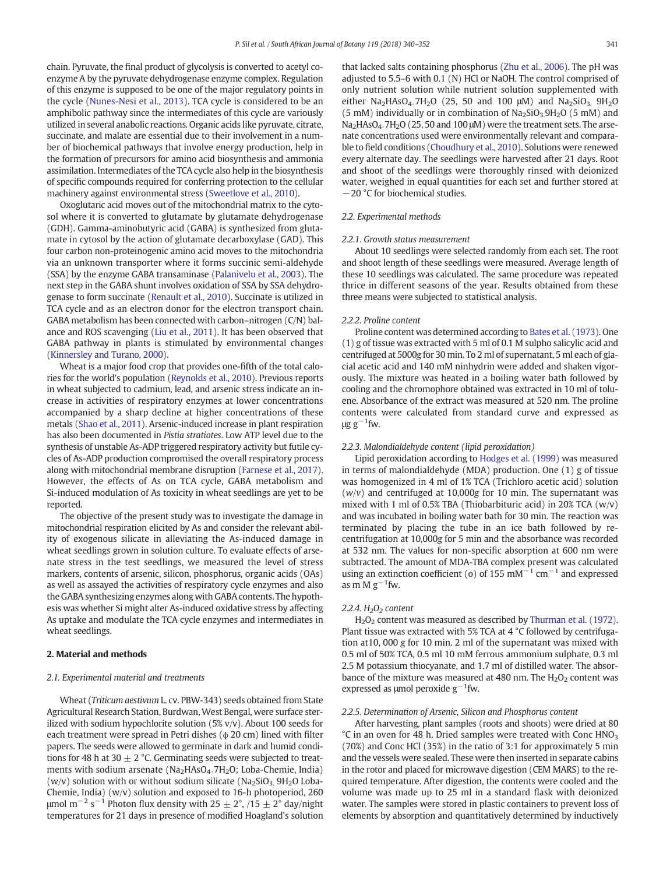chain. Pyruvate, the final product of glycolysis is converted to acetyl coenzyme A by the pyruvate dehydrogenase enzyme complex. Regulation of this enzyme is supposed to be one of the major regulatory points in the cycle (Nunes-Nesi et al., 2013). TCA cycle is considered to be an amphibolic pathway since the intermediates of this cycle are variously utilized in several anabolic reactions. Organic acids like pyruvate, citrate, succinate, and malate are essential due to their involvement in a number of biochemical pathways that involve energy production, help in the formation of precursors for amino acid biosynthesis and ammonia assimilation. Intermediates of the TCA cycle also help in the biosynthesis of specific compounds required for conferring protection to the cellular machinery against environmental stress (Sweetlove et al., 2010).

Oxoglutaric acid moves out of the mitochondrial matrix to the cytosol where it is converted to glutamate by glutamate dehydrogenase (GDH). Gamma-aminobutyric acid (GABA) is synthesized from glutamate in cytosol by the action of glutamate decarboxylase (GAD). This four carbon non-proteinogenic amino acid moves to the mitochondria via an unknown transporter where it forms succinic semi-aldehyde (SSA) by the enzyme GABA transaminase (Palanivelu et al., 2003). The next step in the GABA shunt involves oxidation of SSA by SSA dehydrogenase to form succinate (Renault et al., 2010). Succinate is utilized in TCA cycle and as an electron donor for the electron transport chain. GABA metabolism has been connected with carbon–nitrogen (C/N) balance and ROS scavenging (Liu et al., 2011). It has been observed that GABA pathway in plants is stimulated by environmental changes (Kinnersley and Turano, 2000).

Wheat is a major food crop that provides one-fifth of the total calories for the world's population (Reynolds et al., 2010). Previous reports in wheat subjected to cadmium, lead, and arsenic stress indicate an increase in activities of respiratory enzymes at lower concentrations accompanied by a sharp decline at higher concentrations of these metals (Shao et al., 2011). Arsenic-induced increase in plant respiration has also been documented in *Pistia stratiotes*. Low ATP level due to the synthesis of unstable As-ADP triggered respiratory activity but futile cycles of As-ADP production compromised the overall respiratory process along with mitochondrial membrane disruption (Farnese et al., 2017). However, the effects of As on TCA cycle, GABA metabolism and Si-induced modulation of As toxicity in wheat seedlings are yet to be reported.

The objective of the present study was to investigate the damage in mitochondrial respiration elicited by As and consider the relevant ability of exogenous silicate in alleviating the As-induced damage in wheat seedlings grown in solution culture. To evaluate effects of arsenate stress in the test seedlings, we measured the level of stress markers, contents of arsenic, silicon, phosphorus, organic acids (OAs) as well as assayed the activities of respiratory cycle enzymes and also the GABA synthesizing enzymes along with GABA contents. The hypothesis was whether Si might alter As-induced oxidative stress by affecting As uptake and modulate the TCA cycle enzymes and intermediates in wheat seedlings.

#### 2. Material and methods

#### *2.1. Experimental material and treatments*

Wheat (*Triticum aestivum* L. cv. PBW-343) seeds obtained from State Agricultural Research Station, Burdwan, West Bengal, were surface sterilized with sodium hypochlorite solution (5% v/v). About 100 seeds for each treatment were spread in Petri dishes ( $\phi$  20 cm) lined with filter papers. The seeds were allowed to germinate in dark and humid conditions for 48 h at 30  $\pm$  2 °C. Germinating seeds were subjected to treatments with sodium arsenate (Na<sub>2</sub>HAsO<sub>4</sub>.7H<sub>2</sub>O; Loba-Chemie, India) (w/v) solution with or without sodium silicate (Na<sub>2</sub>SiO<sub>3.</sub>  $9H<sub>2</sub>O$  Loba-Chemie, India) (w/v) solution and exposed to 16-h photoperiod, 260 μmol m<sup>−2</sup> s<sup>−1</sup> Photon flux density with 25  $\pm$  2°, /15  $\pm$  2° day/night temperatures for 21 days in presence of modified Hoagland's solution that lacked salts containing phosphorus (Zhu et al., 2006). The pH was adjusted to 5.5–6 with 0.1 (N) HCl or NaOH. The control comprised of only nutrient solution while nutrient solution supplemented with either Na<sub>2</sub>HAsO<sub>4</sub>.7H<sub>2</sub>O (25, 50 and 100  $\mu$ M) and Na<sub>2</sub>SiO<sub>3</sub> 9H<sub>2</sub>O (5 mM) individually or in combination of  $Na<sub>2</sub>SiO<sub>3</sub>9H<sub>2</sub>O$  (5 mM) and Na<sub>2</sub>HAsO<sub>4</sub>.7H<sub>2</sub>O (25, 50 and 100 μM) were the treatment sets. The arsenate concentrations used were environmentally relevant and comparable to field conditions (Choudhury et al., 2010). Solutions were renewed every alternate day. The seedlings were harvested after 21 days. Root and shoot of the seedlings were thoroughly rinsed with deionized water, weighed in equal quantities for each set and further stored at −20 °C for biochemical studies.

### *2.2. Experimental methods*

#### *2.2.1. Growth status measurement*

About 10 seedlings were selected randomly from each set. The root and shoot length of these seedlings were measured. Average length of these 10 seedlings was calculated. The same procedure was repeated thrice in different seasons of the year. Results obtained from these three means were subjected to statistical analysis.

#### *2.2.2. Proline content*

Proline content was determined according to Bates et al. (1973). One (1) g of tissue was extracted with 5 ml of 0.1 M sulpho salicylic acid and centrifuged at 5000*g* for 30 min. To 2 ml of supernatant, 5 ml each of glacial acetic acid and 140 mM ninhydrin were added and shaken vigorously. The mixture was heated in a boiling water bath followed by cooling and the chromophore obtained was extracted in 10 ml of toluene. Absorbance of the extract was measured at 520 nm. The proline contents were calculated from standard curve and expressed as  $\mu$ g g $^{-1}$ fw.

#### *2.2.3. Malondialdehyde content (lipid peroxidation)*

Lipid peroxidation according to Hodges et al. (1999) was measured in terms of malondialdehyde (MDA) production. One (1) g of tissue was homogenized in 4 ml of 1% TCA (Trichloro acetic acid) solution (*w*/*v*) and centrifuged at 10,000*g* for 10 min. The supernatant was mixed with 1 ml of 0.5% TBA (Thiobarbituric acid) in 20% TCA (w/v) and was incubated in boiling water bath for 30 min. The reaction was terminated by placing the tube in an ice bath followed by recentrifugation at 10,000*g* for 5 min and the absorbance was recorded at 532 nm. The values for non-specific absorption at 600 nm were subtracted. The amount of MDA-TBA complex present was calculated using an extinction coefficient (o) of 155  $\text{mM}^{-1}$  cm<sup>-1</sup> and expressed as m M  $g^{-1}$ fw.

#### *2.2.4. H2O<sup>2</sup> content*

H<sub>2</sub>O<sub>2</sub> content was measured as described by Thurman et al. (1972). Plant tissue was extracted with 5% TCA at 4 °C followed by centrifugation at10, 000 *g* for 10 min. 2 ml of the supernatant was mixed with 0.5 ml of 50% TCA, 0.5 ml 10 mM ferrous ammonium sulphate, 0.3 ml 2.5 M potassium thiocyanate, and 1.7 ml of distilled water. The absorbance of the mixture was measured at 480 nm. The  $H_2O_2$  content was expressed as µmol peroxide  $g^{-1}$ fw.

#### *2.2.5. Determination of Arsenic, Silicon and Phosphorus content*

After harvesting, plant samples (roots and shoots) were dried at 80  $\degree$ C in an oven for 48 h. Dried samples were treated with Conc HNO<sub>3</sub> (70%) and Conc HCl (35%) in the ratio of 3:1 for approximately 5 min and the vessels were sealed. These were then inserted in separate cabins in the rotor and placed for microwave digestion (CEM MARS) to the required temperature. After digestion, the contents were cooled and the volume was made up to 25 ml in a standard flask with deionized water. The samples were stored in plastic containers to prevent loss of elements by absorption and quantitatively determined by inductively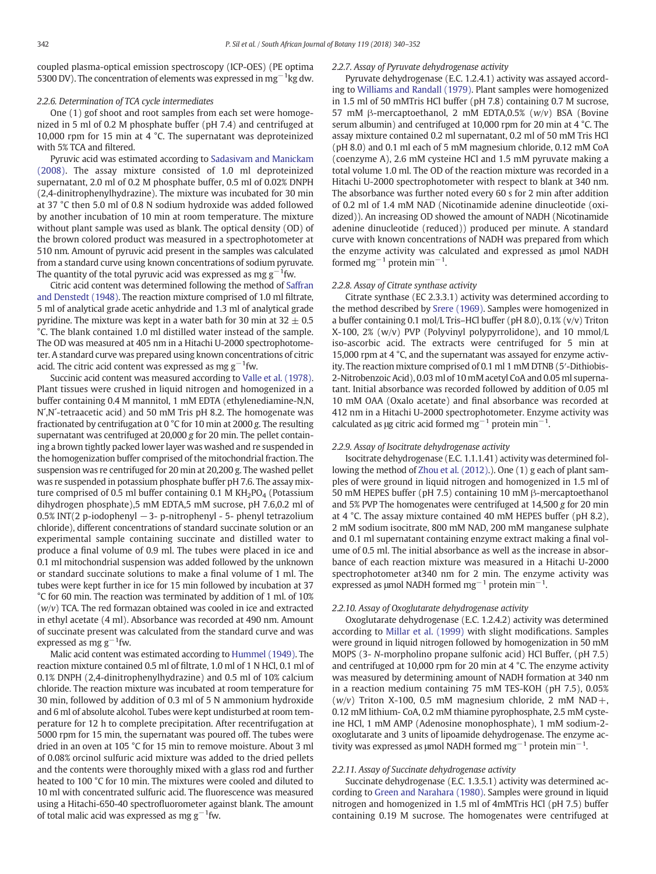coupled plasma-optical emission spectroscopy (ICP-OES) (PE optima 5300 DV). The concentration of elements was expressed in mg<sup>-1</sup>kg dw.

#### *2.2.6. Determination of TCA cycle intermediates*

One (1) gof shoot and root samples from each set were homogenized in 5 ml of 0.2 M phosphate buffer (pH 7.4) and centrifuged at 10,000 rpm for 15 min at 4 °C. The supernatant was deproteinized with 5% TCA and filtered.

Pyruvic acid was estimated according to Sadasivam and Manickam (2008). The assay mixture consisted of 1.0 ml deproteinized supernatant, 2.0 ml of 0.2 M phosphate buffer, 0.5 ml of 0.02% DNPH (2,4-dinitrophenylhydrazine). The mixture was incubated for 30 min at 37 °C then 5.0 ml of 0.8 N sodium hydroxide was added followed by another incubation of 10 min at room temperature. The mixture without plant sample was used as blank. The optical density (OD) of the brown colored product was measured in a spectrophotometer at 510 nm. Amount of pyruvic acid present in the samples was calculated from a standard curve using known concentrations of sodium pyruvate. The quantity of the total pyruvic acid was expressed as mg  $g^{-1}$ fw.

Citric acid content was determined following the method of Saffran and Denstedt (1948). The reaction mixture comprised of 1.0 ml filtrate, 5 ml of analytical grade acetic anhydride and 1.3 ml of analytical grade pyridine. The mixture was kept in a water bath for 30 min at  $32 \pm 0.5$ °C. The blank contained 1.0 ml distilled water instead of the sample. The OD was measured at 405 nm in a Hitachi U-2000 spectrophotometer. A standard curve was prepared using known concentrations of citric acid. The citric acid content was expressed as mg  $g^{-1}$ fw.

Succinic acid content was measured according to Valle et al. (1978). Plant tissues were crushed in liquid nitrogen and homogenized in a buffer containing 0.4 M mannitol, 1 mM EDTA (ethylenediamine-N,N, N´,N´-tetraacetic acid) and 50 mM Tris pH 8.2. The homogenate was fractionated by centrifugation at 0 °C for 10 min at 2000 *g*. The resulting supernatant was centrifuged at 20,000 *g* for 20 min. The pellet containing a brown tightly packed lower layer was washed and re suspended in the homogenization buffer comprised of the mitochondrial fraction. The suspension was re centrifuged for 20 min at 20,200 g. The washed pellet was re suspended in potassium phosphate buffer pH 7.6. The assay mixture comprised of 0.5 ml buffer containing 0.1 M  $KH<sub>2</sub>PO<sub>4</sub>$  (Potassium dihydrogen phosphate),5 mM EDTA,5 mM sucrose, pH 7.6,0.2 ml of 0.5% INT(2 p-iodophenyl −3- p-nitrophenyl - 5- phenyl tetrazolium chloride), different concentrations of standard succinate solution or an experimental sample containing succinate and distilled water to produce a final volume of 0.9 ml. The tubes were placed in ice and 0.1 ml mitochondrial suspension was added followed by the unknown or standard succinate solutions to make a final volume of 1 ml. The tubes were kept further in ice for 15 min followed by incubation at 37 °C for 60 min. The reaction was terminated by addition of 1 ml. of 10% (*w*/*v*) TCA. The red formazan obtained was cooled in ice and extracted in ethyl acetate (4 ml). Absorbance was recorded at 490 nm. Amount of succinate present was calculated from the standard curve and was expressed as mg g−<sup>1</sup> fw.

Malic acid content was estimated according to Hummel (1949). The reaction mixture contained 0.5 ml of filtrate, 1.0 ml of 1 N HCl, 0.1 ml of 0.1% DNPH (2,4-dinitrophenylhydrazine) and 0.5 ml of 10% calcium chloride. The reaction mixture was incubated at room temperature for 30 min, followed by addition of 0.3 ml of 5 N ammonium hydroxide and 6 ml of absolute alcohol. Tubes were kept undisturbed at room temperature for 12 h to complete precipitation. After recentrifugation at 5000 rpm for 15 min, the supernatant was poured off. The tubes were dried in an oven at 105 °C for 15 min to remove moisture. About 3 ml of 0.08% orcinol sulfuric acid mixture was added to the dried pellets and the contents were thoroughly mixed with a glass rod and further heated to 100 °C for 10 min. The mixtures were cooled and diluted to 10 ml with concentrated sulfuric acid. The fluorescence was measured using a Hitachi-650-40 spectrofluorometer against blank. The amount of total malic acid was expressed as mg  $g^{-1}$ fw.

#### *2.2.7. Assay of Pyruvate dehydrogenase activity*

Pyruvate dehydrogenase (E.C. 1.2.4.1) activity was assayed according to Williams and Randall (1979). Plant samples were homogenized in 1.5 ml of 50 mMTris HCl buffer (pH 7.8) containing 0.7 M sucrose, 57 mM β-mercaptoethanol, 2 mM EDTA,0.5% (*w*/*v*) BSA (Bovine serum albumin) and centrifuged at 10,000 rpm for 20 min at 4 °C. The assay mixture contained 0.2 ml supernatant, 0.2 ml of 50 mM Tris HCl (pH 8.0) and 0.1 ml each of 5 mM magnesium chloride, 0.12 mM CoA (coenzyme A), 2.6 mM cysteine HCl and 1.5 mM pyruvate making a total volume 1.0 ml. The OD of the reaction mixture was recorded in a Hitachi U-2000 spectrophotometer with respect to blank at 340 nm. The absorbance was further noted every 60 s for 2 min after addition of 0.2 ml of 1.4 mM NAD (Nicotinamide adenine dinucleotide (oxidized)). An increasing OD showed the amount of NADH (Nicotinamide adenine dinucleotide (reduced)) produced per minute. A standard curve with known concentrations of NADH was prepared from which the enzyme activity was calculated and expressed as μmol NADH formed mg−<sup>1</sup> protein min−<sup>1</sup> .

#### *2.2.8. Assay of Citrate synthase activity*

Citrate synthase (EC 2.3.3.1) activity was determined according to the method described by Srere (1969). Samples were homogenized in a buffer containing 0.1 mol/L Tris–HCl buffer (pH 8.0), 0.1% (v/v) Triton X-100, 2% (w/v) PVP (Polyvinyl polypyrrolidone), and 10 mmol/L iso-ascorbic acid. The extracts were centrifuged for 5 min at 15,000 rpm at 4 °C, and the supernatant was assayed for enzyme activity. The reaction mixture comprised of 0.1 ml 1 mM DTNB (5′-Dithiobis-2-Nitrobenzoic Acid), 0.03 ml of 10 mM acetyl CoA and 0.05 ml supernatant. Initial absorbance was recorded followed by addition of 0.05 ml 10 mM OAA (Oxalo acetate) and final absorbance was recorded at 412 nm in a Hitachi U-2000 spectrophotometer. Enzyme activity was calculated as µg citric acid formed  $mg^{-1}$  protein min<sup>-1</sup>.

#### *2.2.9. Assay of Isocitrate dehydrogenase activity*

Isocitrate dehydrogenase (E.C. 1.1.1.41) activity was determined following the method of Zhou et al. (2012).). One (1) g each of plant samples of were ground in liquid nitrogen and homogenized in 1.5 ml of 50 mM HEPES buffer (pH 7.5) containing 10 mM β-mercaptoethanol and 5% PVP The homogenates were centrifuged at 14,500 *g* for 20 min at 4 °C. The assay mixture contained 40 mM HEPES buffer (pH 8.2), 2 mM sodium isocitrate, 800 mM NAD, 200 mM manganese sulphate and 0.1 ml supernatant containing enzyme extract making a final volume of 0.5 ml. The initial absorbance as well as the increase in absorbance of each reaction mixture was measured in a Hitachi U-2000 spectrophotometer at340 nm for 2 min. The enzyme activity was expressed as µmol NADH formed  $mg^{-1}$  protein min<sup>-1</sup>.

#### *2.2.10. Assay of Oxoglutarate dehydrogenase activity*

Oxoglutarate dehydrogenase (E.C. 1.2.4.2) activity was determined according to Millar et al. (1999) with slight modifications. Samples were ground in liquid nitrogen followed by homogenization in 50 mM MOPS (3- *N*-morpholino propane sulfonic acid) HCl Buffer, (pH 7.5) and centrifuged at 10,000 rpm for 20 min at 4 °C. The enzyme activity was measured by determining amount of NADH formation at 340 nm in a reaction medium containing 75 mM TES-KOH (pH 7.5), 0.05% (*w*/*v*) Triton X-100, 0.5 mM magnesium chloride, 2 mM NAD+, 0.12 mM lithium- CoA, 0.2 mM thiamine pyrophosphate, 2.5 mM cysteine HCl, 1 mM AMP (Adenosine monophosphate), 1 mM sodium-2 oxoglutarate and 3 units of lipoamide dehydrogenase. The enzyme activity was expressed as µmol NADH formed  $mg^{-1}$  protein min<sup>-1</sup>.

### *2.2.11. Assay of Succinate dehydrogenase activity*

Succinate dehydrogenase (E.C. 1.3.5.1) activity was determined according to Green and Narahara (1980). Samples were ground in liquid nitrogen and homogenized in 1.5 ml of 4mMTris HCl (pH 7.5) buffer containing 0.19 M sucrose. The homogenates were centrifuged at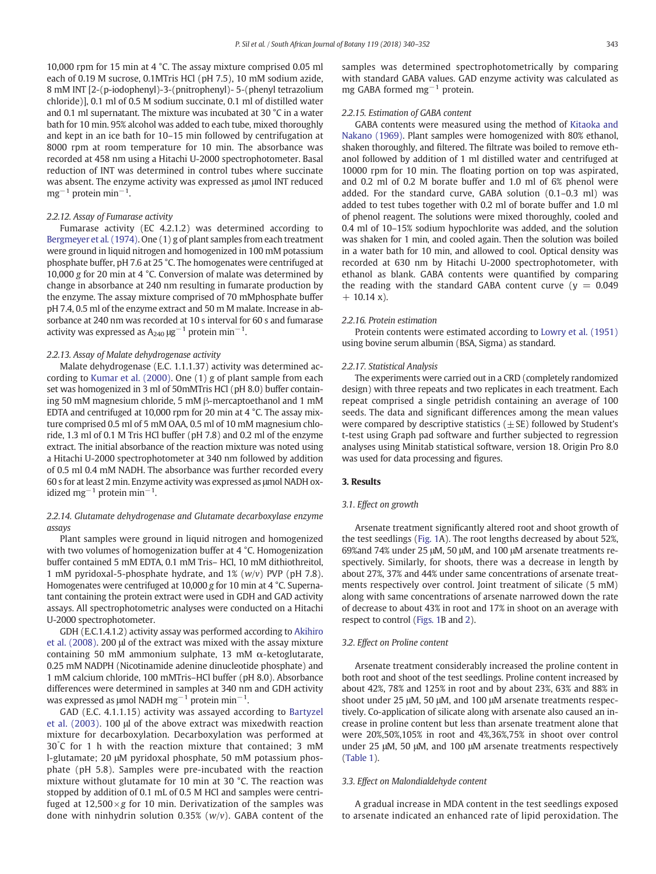10,000 rpm for 15 min at 4 °C. The assay mixture comprised 0.05 ml each of 0.19 M sucrose, 0.1MTris HCl (pH 7.5), 10 mM sodium azide, 8 mM INT [2-(p-iodophenyl)-3-(pnitrophenyl)- 5-(phenyl tetrazolium chloride)], 0.1 ml of 0.5 M sodium succinate, 0.1 ml of distilled water and 0.1 ml supernatant. The mixture was incubated at 30 °C in a water bath for 10 min. 95% alcohol was added to each tube, mixed thoroughly and kept in an ice bath for 10–15 min followed by centrifugation at 8000 rpm at room temperature for 10 min. The absorbance was recorded at 458 nm using a Hitachi U-2000 spectrophotometer. Basal reduction of INT was determined in control tubes where succinate was absent. The enzyme activity was expressed as μmol INT reduced mg<sup>−1</sup> protein min<sup>−1</sup>.

## *2.2.12. Assay of Fumarase activity*

Fumarase activity (EC 4.2.1.2) was determined according to Bergmeyer et al. (1974). One (1) g of plant samples from each treatment were ground in liquid nitrogen and homogenized in 100 mM potassium phosphate buffer, pH 7.6 at 25 °C. The homogenates were centrifuged at 10,000 *g* for 20 min at 4 °C. Conversion of malate was determined by change in absorbance at 240 nm resulting in fumarate production by the enzyme. The assay mixture comprised of 70 mMphosphate buffer pH 7.4, 0.5 ml of the enzyme extract and 50 m M malate. Increase in absorbance at 240 nm was recorded at 10 s interval for 60 s and fumarase activity was expressed as A<sub>240</sub>  $\mu\rm{g}^{-1}$  protein min $^{-1}$ .

#### *2.2.13. Assay of Malate dehydrogenase activity*

Malate dehydrogenase (E.C. 1.1.1.37) activity was determined according to Kumar et al. (2000). One (1) g of plant sample from each set was homogenized in 3 ml of 50mMTris HCl (pH 8.0) buffer containing 50 mM magnesium chloride, 5 mM β-mercaptoethanol and 1 mM EDTA and centrifuged at 10,000 rpm for 20 min at 4 °C. The assay mixture comprised 0.5 ml of 5 mM OAA, 0.5 ml of 10 mM magnesium chloride, 1.3 ml of 0.1 M Tris HCl buffer (pH 7.8) and 0.2 ml of the enzyme extract. The initial absorbance of the reaction mixture was noted using a Hitachi U-2000 spectrophotometer at 340 nm followed by addition of 0.5 ml 0.4 mM NADH. The absorbance was further recorded every 60 s for at least 2 min. Enzyme activity was expressed as μmol NADH oxidized mg<sup>-1</sup> protein min<sup>-1</sup>.

# *2.2.14. Glutamate dehydrogenase and Glutamate decarboxylase enzyme assays*

Plant samples were ground in liquid nitrogen and homogenized with two volumes of homogenization buffer at 4 °C. Homogenization buffer contained 5 mM EDTA, 0.1 mM Tris– HCl, 10 mM dithiothreitol, 1 mM pyridoxal-5-phosphate hydrate, and 1% (*w*/*v*) PVP (pH 7.8). Homogenates were centrifuged at 10,000 *g* for 10 min at 4 °C. Supernatant containing the protein extract were used in GDH and GAD activity assays. All spectrophotometric analyses were conducted on a Hitachi U-2000 spectrophotometer.

GDH (E.C.1.4.1.2) activity assay was performed according to Akihiro et al. (2008). 200 μl of the extract was mixed with the assay mixture containing 50 mM ammonium sulphate, 13 mM  $\alpha$ -ketoglutarate, 0.25 mM NADPH (Nicotinamide adenine dinucleotide phosphate) and 1 mM calcium chloride, 100 mMTris–HCl buffer (pH 8.0). Absorbance differences were determined in samples at 340 nm and GDH activity was expressed as µmol NADH mg<sup>-1</sup> protein min<sup>-1</sup>.

GAD (E.C. 4.1.1.15) activity was assayed according to Bartyzel et al. (2003). 100 μl of the above extract was mixedwith reaction mixture for decarboxylation. Decarboxylation was performed at 30° C for 1 h with the reaction mixture that contained; 3 mM l-glutamate; 20 μM pyridoxal phosphate, 50 mM potassium phosphate (pH 5.8). Samples were pre-incubated with the reaction mixture without glutamate for 10 min at 30 °C. The reaction was stopped by addition of 0.1 mL of 0.5 M HCl and samples were centrifuged at  $12,500\times g$  for 10 min. Derivatization of the samples was done with ninhydrin solution 0.35% (*w*/*v*). GABA content of the samples was determined spectrophotometrically by comparing with standard GABA values. GAD enzyme activity was calculated as mg GABA formed mg<sup>-1</sup> protein.

#### *2.2.15. Estimation of GABA content*

GABA contents were measured using the method of Kitaoka and Nakano (1969). Plant samples were homogenized with 80% ethanol, shaken thoroughly, and filtered. The filtrate was boiled to remove ethanol followed by addition of 1 ml distilled water and centrifuged at 10000 rpm for 10 min. The floating portion on top was aspirated, and 0.2 ml of 0.2 M borate buffer and 1.0 ml of 6% phenol were added. For the standard curve, GABA solution (0.1–0.3 ml) was added to test tubes together with 0.2 ml of borate buffer and 1.0 ml of phenol reagent. The solutions were mixed thoroughly, cooled and 0.4 ml of 10–15% sodium hypochlorite was added, and the solution was shaken for 1 min, and cooled again. Then the solution was boiled in a water bath for 10 min, and allowed to cool. Optical density was recorded at 630 nm by Hitachi U-2000 spectrophotometer, with ethanol as blank. GABA contents were quantified by comparing the reading with the standard GABA content curve ( $y = 0.049$ )  $+ 10.14 x$ .

#### *2.2.16. Protein estimation*

Protein contents were estimated according to Lowry et al. (1951) using bovine serum albumin (BSA, Sigma) as standard.

#### *2.2.17. Statistical Analysis*

The experiments were carried out in a CRD (completely randomized design) with three repeats and two replicates in each treatment. Each repeat comprised a single petridish containing an average of 100 seeds. The data and significant differences among the mean values were compared by descriptive statistics  $(\pm S_E)$  followed by Student's t-test using Graph pad software and further subjected to regression analyses using Minitab statistical software, version 18. Origin Pro 8.0 was used for data processing and figures.

#### 3. Results

#### *3.1. Effect on growth*

Arsenate treatment significantly altered root and shoot growth of the test seedlings (Fig. 1A). The root lengths decreased by about 52%, 69%and 74% under 25 μM, 50 μM, and 100 μM arsenate treatments respectively. Similarly, for shoots, there was a decrease in length by about 27%, 37% and 44% under same concentrations of arsenate treatments respectively over control. Joint treatment of silicate (5 mM) along with same concentrations of arsenate narrowed down the rate of decrease to about 43% in root and 17% in shoot on an average with respect to control (Figs. 1B and 2).

#### *3.2. Effect on Proline content*

Arsenate treatment considerably increased the proline content in both root and shoot of the test seedlings. Proline content increased by about 42%, 78% and 125% in root and by about 23%, 63% and 88% in shoot under 25 μM, 50 μM, and 100 μM arsenate treatments respectively. Co-application of silicate along with arsenate also caused an increase in proline content but less than arsenate treatment alone that were 20%,50%,105% in root and 4%,36%,75% in shoot over control under 25 μM, 50 μM, and 100 μM arsenate treatments respectively (Table 1).

#### *3.3. Effect on Malondialdehyde content*

A gradual increase in MDA content in the test seedlings exposed to arsenate indicated an enhanced rate of lipid peroxidation. The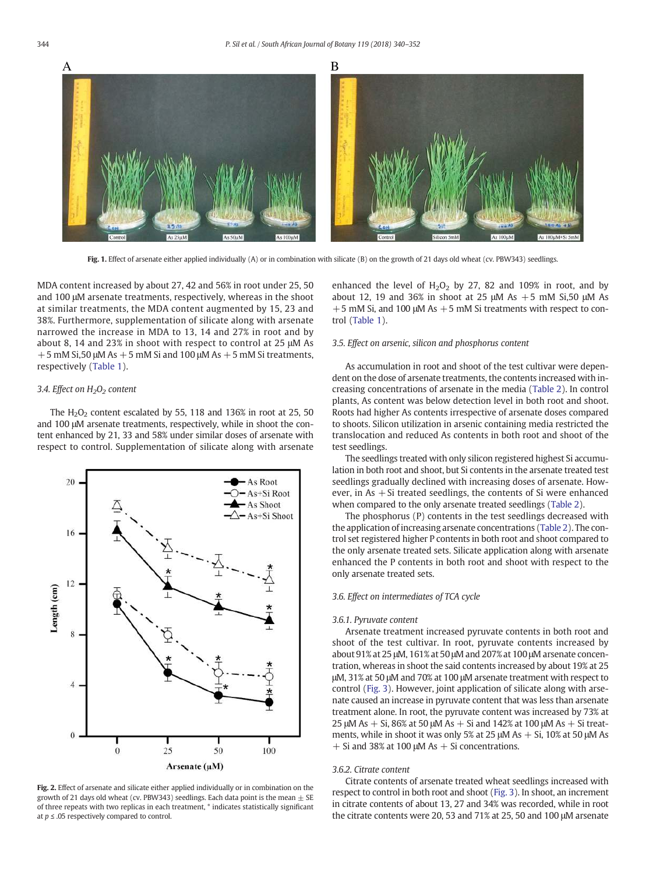

Fig. 1. Effect of arsenate either applied individually (A) or in combination with silicate (B) on the growth of 21 days old wheat (cv. PBW343) seedlings.

MDA content increased by about 27, 42 and 56% in root under 25, 50 and 100 μM arsenate treatments, respectively, whereas in the shoot at similar treatments, the MDA content augmented by 15, 23 and 38%. Furthermore, supplementation of silicate along with arsenate narrowed the increase in MDA to 13, 14 and 27% in root and by about 8, 14 and 23% in shoot with respect to control at 25 μM As  $+ 5$  mM Si,50 μM As  $+ 5$  mM Si and 100 μM As  $+ 5$  mM Si treatments, respectively (Table 1).

#### *3.4. Effect on H2O<sup>2</sup> content*

The  $H<sub>2</sub>O<sub>2</sub>$  content escalated by 55, 118 and 136% in root at 25, 50 and 100 μM arsenate treatments, respectively, while in shoot the content enhanced by 21, 33 and 58% under similar doses of arsenate with respect to control. Supplementation of silicate along with arsenate



Fig. 2. Effect of arsenate and silicate either applied individually or in combination on the growth of 21 days old wheat (cv. PBW343) seedlings. Each data point is the mean  $\pm$  SE of three repeats with two replicas in each treatment, \* indicates statistically significant at *p* ≤ .05 respectively compared to control.

enhanced the level of  $H<sub>2</sub>O<sub>2</sub>$  by 27, 82 and 109% in root, and by about 12, 19 and 36% in shoot at 25  $\mu$ M As +5 mM Si,50  $\mu$ M As  $+5$  mM Si, and 100  $\mu$ M As  $+5$  mM Si treatments with respect to control (Table 1).

#### *3.5. Effect on arsenic, silicon and phosphorus content*

As accumulation in root and shoot of the test cultivar were dependent on the dose of arsenate treatments, the contents increased with increasing concentrations of arsenate in the media (Table 2). In control plants, As content was below detection level in both root and shoot. Roots had higher As contents irrespective of arsenate doses compared to shoots. Silicon utilization in arsenic containing media restricted the translocation and reduced As contents in both root and shoot of the test seedlings.

The seedlings treated with only silicon registered highest Si accumulation in both root and shoot, but Si contents in the arsenate treated test seedlings gradually declined with increasing doses of arsenate. However, in  $As + Si$  treated seedlings, the contents of Si were enhanced when compared to the only arsenate treated seedlings (Table 2).

The phosphorus (P) contents in the test seedlings decreased with the application of increasing arsenate concentrations (Table 2). The control set registered higher P contents in both root and shoot compared to the only arsenate treated sets. Silicate application along with arsenate enhanced the P contents in both root and shoot with respect to the only arsenate treated sets.

#### *3.6. Effect on intermediates of TCA cycle*

#### *3.6.1. Pyruvate content*

Arsenate treatment increased pyruvate contents in both root and shoot of the test cultivar. In root, pyruvate contents increased by about 91% at 25 μM, 161% at 50 μM and 207% at 100 μM arsenate concentration, whereas in shoot the said contents increased by about 19% at 25 μM, 31% at 50 μM and 70% at 100 μM arsenate treatment with respect to control (Fig. 3). However, joint application of silicate along with arsenate caused an increase in pyruvate content that was less than arsenate treatment alone. In root, the pyruvate content was increased by 73% at 25 μM As + Si, 86% at 50 μM As + Si and 142% at 100 μM As + Si treatments, while in shoot it was only 5% at 25  $\mu$ M As + Si, 10% at 50  $\mu$ M As  $+$  Si and 38% at 100 μM As  $+$  Si concentrations.

### *3.6.2. Citrate content*

Citrate contents of arsenate treated wheat seedlings increased with respect to control in both root and shoot (Fig. 3). In shoot, an increment in citrate contents of about 13, 27 and 34% was recorded, while in root the citrate contents were 20, 53 and 71% at 25, 50 and 100 μM arsenate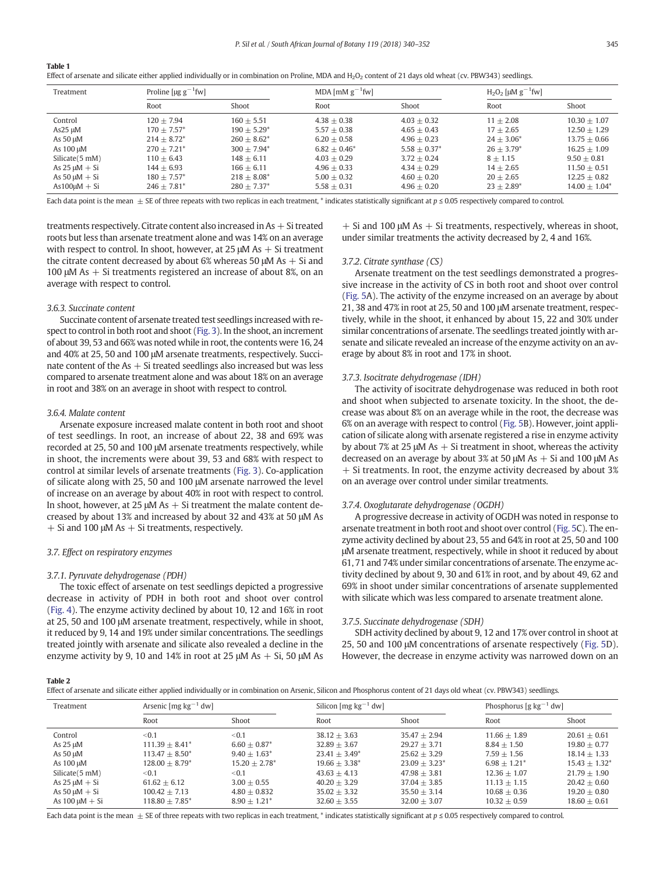Effect of arsenate and silicate either applied individually or in combination on Proline, MDA and H<sub>2</sub>O<sub>2</sub> content of 21 days old wheat (cv. PBW343) seedlings.

| Treatment          | Proline [µg $g^{-1}$ fw]  |                | MDA [mM $g^{-1}$ fw] |                 | $H_2O_2$ [µM g <sup>-1</sup> fw] |                  |  |
|--------------------|---------------------------|----------------|----------------------|-----------------|----------------------------------|------------------|--|
|                    | Root                      | Shoot          | Root                 | Shoot           | Root                             | Shoot            |  |
| Control            | $120 + 7.94$              | $160 + 5.51$   | $4.38 + 0.38$        | $4.03 + 0.32$   | $11 + 2.08$                      | $10.30 + 1.07$   |  |
| $As25 \mu M$       | $170 + 7.57^*$            | $190 + 5.29^*$ | $5.57 + 0.38$        | $4.65 + 0.43$   | $17 + 2.65$                      | $12.50 + 1.29$   |  |
| As 50 µM           | $214 + 8.72^*$            | $260 + 8.62^*$ | $6.20 + 0.58$        | $4.96 + 0.23$   | $24 + 3.06^*$                    | $13.75 + 0.66$   |  |
| As 100 µM          | $270 + 7.21$ <sup>*</sup> | $300 + 7.94^*$ | $6.82 + 0.46^*$      | $5.58 + 0.37^*$ | $26 + 3.79^*$                    | $16.25 + 1.09$   |  |
| Silicate (5 mM)    | $110 + 6.43$              | $148 + 6.11$   | $4.03 + 0.29$        | $3.72 + 0.24$   | $8 + 1.15$                       | $9.50 + 0.81$    |  |
| As $25 \mu M + Si$ | $144 + 6.93$              | $166 + 6.11$   | $4.96 + 0.33$        | $4.34 + 0.29$   | $14 + 2.65$                      | $11.50 + 0.51$   |  |
| As 50 $\mu$ M + Si | $180 + 7.57^*$            | $218 + 8.08^*$ | $5.00 + 0.32$        | $4.60 + 0.20$   | $20 + 2.65$                      | $12.25 + 0.82$   |  |
| $As100 \mu M + Si$ | $246 + 7.81^*$            | $280 + 7.37^*$ | $5.58 + 0.31$        | $4.96 + 0.20$   | $23 + 2.89^*$                    | $14.00 + 1.04^*$ |  |

Each data point is the mean  $\pm$  SE of three repeats with two replicas in each treatment, \* indicates statistically significant at  $p \le 0.05$  respectively compared to control.

treatments respectively. Citrate content also increased in  $As + Si$  treated roots but less than arsenate treatment alone and was 14% on an average with respect to control. In shoot, however, at 25  $\mu$ M As  $+$  Si treatment the citrate content decreased by about 6% whereas 50  $\mu$ M As + Si and 100 μM As  $+$  Si treatments registered an increase of about 8%, on an average with respect to control.

### *3.6.3. Succinate content*

Succinate content of arsenate treated test seedlings increased with respect to control in both root and shoot (Fig. 3). In the shoot, an increment of about 39, 53 and 66% was noted while in root, the contents were 16, 24 and 40% at 25, 50 and 100 μM arsenate treatments, respectively. Succinate content of the  $As + Si$  treated seedlings also increased but was less compared to arsenate treatment alone and was about 18% on an average in root and 38% on an average in shoot with respect to control.

#### *3.6.4. Malate content*

Arsenate exposure increased malate content in both root and shoot of test seedlings. In root, an increase of about 22, 38 and 69% was recorded at 25, 50 and 100 μM arsenate treatments respectively, while in shoot, the increments were about 39, 53 and 68% with respect to control at similar levels of arsenate treatments (Fig. 3). Co-application of silicate along with 25, 50 and 100 μM arsenate narrowed the level of increase on an average by about 40% in root with respect to control. In shoot, however, at 25  $\mu$ M As  $+$  Si treatment the malate content decreased by about 13% and increased by about 32 and 43% at 50 μM As  $+$  Si and 100  $\mu$ M As  $+$  Si treatments, respectively.

#### *3.7. Effect on respiratory enzymes*

#### *3.7.1. Pyruvate dehydrogenase (PDH)*

The toxic effect of arsenate on test seedlings depicted a progressive decrease in activity of PDH in both root and shoot over control (Fig. 4). The enzyme activity declined by about 10, 12 and 16% in root at 25, 50 and 100 μM arsenate treatment, respectively, while in shoot, it reduced by 9, 14 and 19% under similar concentrations. The seedlings treated jointly with arsenate and silicate also revealed a decline in the enzyme activity by 9, 10 and 14% in root at 25  $\mu$ M As + Si, 50  $\mu$ M As

 $+$  Si and 100 μM As  $+$  Si treatments, respectively, whereas in shoot, under similar treatments the activity decreased by 2, 4 and 16%.

#### *3.7.2. Citrate synthase (CS)*

Arsenate treatment on the test seedlings demonstrated a progressive increase in the activity of CS in both root and shoot over control (Fig. 5A). The activity of the enzyme increased on an average by about 21, 38 and 47% in root at 25, 50 and 100 μM arsenate treatment, respectively, while in the shoot, it enhanced by about 15, 22 and 30% under similar concentrations of arsenate. The seedlings treated jointly with arsenate and silicate revealed an increase of the enzyme activity on an average by about 8% in root and 17% in shoot.

#### *3.7.3. Isocitrate dehydrogenase (IDH)*

The activity of isocitrate dehydrogenase was reduced in both root and shoot when subjected to arsenate toxicity. In the shoot, the decrease was about 8% on an average while in the root, the decrease was 6% on an average with respect to control (Fig. 5B). However, joint application of silicate along with arsenate registered a rise in enzyme activity by about 7% at 25  $\mu$ M As + Si treatment in shoot, whereas the activity decreased on an average by about 3% at 50  $\mu$ M As + Si and 100  $\mu$ M As  $+$  Si treatments. In root, the enzyme activity decreased by about 3% on an average over control under similar treatments.

#### *3.7.4. Oxoglutarate dehydrogenase (OGDH)*

A progressive decrease in activity of OGDH was noted in response to arsenate treatment in both root and shoot over control (Fig. 5C). The enzyme activity declined by about 23, 55 and 64% in root at 25, 50 and 100 μM arsenate treatment, respectively, while in shoot it reduced by about 61, 71 and 74% under similar concentrations of arsenate. The enzyme activity declined by about 9, 30 and 61% in root, and by about 49, 62 and 69% in shoot under similar concentrations of arsenate supplemented with silicate which was less compared to arsenate treatment alone.

### *3.7.5. Succinate dehydrogenase (SDH)*

SDH activity declined by about 9, 12 and 17% over control in shoot at 25, 50 and 100 μM concentrations of arsenate respectively (Fig. 5D). However, the decrease in enzyme activity was narrowed down on an

Table 2

|  |  |  |  |  |  |  |  |  |  |  | Effect of arsenate and silicate either applied individually or in combination on Arsenic, Silicon and Phosphorus content of 21 days old wheat (cv. PBW343) seedlings |  |  |  |  |  |  |
|--|--|--|--|--|--|--|--|--|--|--|----------------------------------------------------------------------------------------------------------------------------------------------------------------------|--|--|--|--|--|--|
|--|--|--|--|--|--|--|--|--|--|--|----------------------------------------------------------------------------------------------------------------------------------------------------------------------|--|--|--|--|--|--|

| Treatment           | Arsenic $\lceil \text{mg kg}^{-1} \text{dw} \rceil$ |                            | Silicon [mg kg <sup>-1</sup> dw] |                  | Phosphorus [g $kg^{-1}$ dw] |                  |  |
|---------------------|-----------------------------------------------------|----------------------------|----------------------------------|------------------|-----------------------------|------------------|--|
|                     | Root                                                | Shoot                      | Root                             | Shoot            | Root                        | Shoot            |  |
| Control             | < 0.1                                               | < 0.1                      | $38.12 + 3.63$                   | $35.47 + 2.94$   | $11.66 + 1.89$              | $20.61 + 0.61$   |  |
| As $25 \mu M$       | $111.39 + 8.41^*$                                   | $6.60 + 0.87^*$            | $32.89 + 3.67$                   | $29.27 + 3.71$   | $8.84 + 1.50$               | $19.80 + 0.77$   |  |
| As 50 µM            | $113.47 + 8.50^*$                                   | $9.40 + 1.63^*$            | $23.41 + 3.49*$                  | $25.62 + 3.29$   | $7.59 + 1.56$               | $18.14 + 1.33$   |  |
| As 100 µM           | $128.00 + 8.79*$                                    | $15.20 + 2.78^*$           | $19.66 + 3.38*$                  | $23.09 + 3.23^*$ | $6.98 + 1.21^*$             | $15.43 + 1.32^*$ |  |
| Silicate(5 mM)      | < 0.1                                               | < 0.1                      | $43.63 + 4.13$                   | $47.98 + 3.81$   | $12.36 + 1.07$              | $21.79 + 1.90$   |  |
| As $25 \mu M + Si$  | $61.62 + 6.12$                                      | $3.00 + 0.55$              | $40.20 + 3.29$                   | $37.04 + 3.85$   | $11.13 + 1.15$              | $20.42 + 0.60$   |  |
| As 50 $\mu$ M + Si  | $100.42 + 7.13$                                     | $4.80 + 0.832$             | $35.02 + 3.32$                   | $35.50 + 3.14$   | $10.68 + 0.36$              | $19.20 + 0.80$   |  |
| As $100 \mu M + Si$ | $118.80 + 7.85^*$                                   | $8.90 + 1.21$ <sup>*</sup> | $32.60 + 3.55$                   | $32.00 + 3.07$   | $10.32 + 0.59$              | $18.60 + 0.61$   |  |

Each data point is the mean  $\pm$  SE of three repeats with two replicas in each treatment, \* indicates statistically significant at  $p \le 0.05$  respectively compared to control.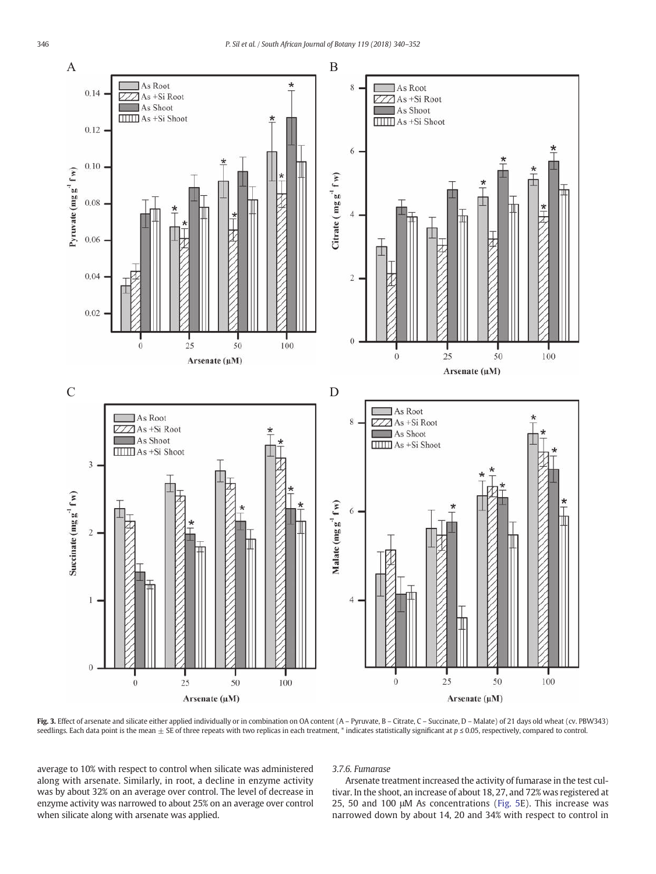

Fig. 3. Effect of arsenate and silicate either applied individually or in combination on OA content (A - Pyruvate, B - Citrate, C - Succinate, D - Malate) of 21 days old wheat (cv. PBW343) seedlings. Each data point is the mean ± SE of three repeats with two replicas in each treatment, \* indicates statistically significant at *p* ≤ 0.05, respectively, compared to control.

average to 10% with respect to control when silicate was administered along with arsenate. Similarly, in root, a decline in enzyme activity was by about 32% on an average over control. The level of decrease in enzyme activity was narrowed to about 25% on an average over control when silicate along with arsenate was applied.

# *3.7.6. Fumarase*

Arsenate treatment increased the activity of fumarase in the test cultivar. In the shoot, an increase of about 18, 27, and 72% was registered at 25, 50 and 100 μM As concentrations (Fig. 5E). This increase was narrowed down by about 14, 20 and 34% with respect to control in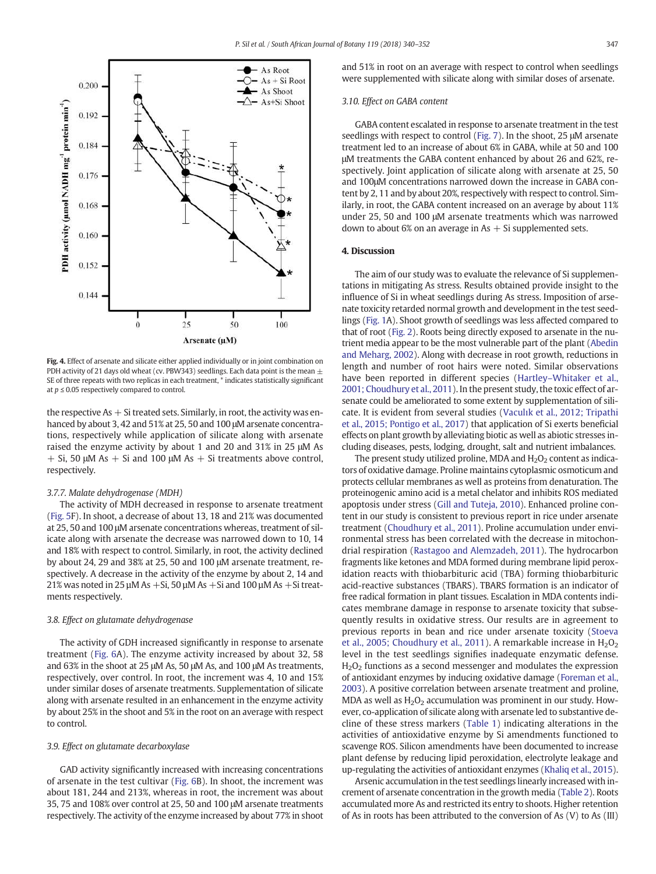

Fig. 4. Effect of arsenate and silicate either applied individually or in joint combination on PDH activity of 21 days old wheat (cv. PBW343) seedlings. Each data point is the mean  $\pm$ SE of three repeats with two replicas in each treatment, \* indicates statistically significant at  $p \leq 0.05$  respectively compared to control.

the respective  $As + Si$  treated sets. Similarly, in root, the activity was enhanced by about 3, 42 and 51% at 25, 50 and 100 μM arsenate concentrations, respectively while application of silicate along with arsenate raised the enzyme activity by about 1 and 20 and 31% in 25 μM As  $+$  Si, 50 μM As  $+$  Si and 100 μM As  $+$  Si treatments above control, respectively.

# *3.7.7. Malate dehydrogenase (MDH)*

The activity of MDH decreased in response to arsenate treatment (Fig. 5F). In shoot, a decrease of about 13, 18 and 21% was documented at 25, 50 and 100 μM arsenate concentrations whereas, treatment of silicate along with arsenate the decrease was narrowed down to 10, 14 and 18% with respect to control. Similarly, in root, the activity declined by about 24, 29 and 38% at 25, 50 and 100 μM arsenate treatment, respectively. A decrease in the activity of the enzyme by about 2, 14 and 21% was noted in 25  $\mu$ M As +Si, 50  $\mu$ M As +Si and 100  $\mu$ M As +Si treatments respectively.

#### *3.8. Effect on glutamate dehydrogenase*

The activity of GDH increased significantly in response to arsenate treatment (Fig. 6A). The enzyme activity increased by about 32, 58 and 63% in the shoot at 25 μM As, 50 μM As, and 100 μM As treatments, respectively, over control. In root, the increment was 4, 10 and 15% under similar doses of arsenate treatments. Supplementation of silicate along with arsenate resulted in an enhancement in the enzyme activity by about 25% in the shoot and 5% in the root on an average with respect to control.

#### *3.9. Effect on glutamate decarboxylase*

GAD activity significantly increased with increasing concentrations of arsenate in the test cultivar (Fig. 6B). In shoot, the increment was about 181, 244 and 213%, whereas in root, the increment was about 35, 75 and 108% over control at 25, 50 and 100 μM arsenate treatments respectively. The activity of the enzyme increased by about 77% in shoot

and 51% in root on an average with respect to control when seedlings were supplemented with silicate along with similar doses of arsenate.

### *3.10. Effect on GABA content*

GABA content escalated in response to arsenate treatment in the test seedlings with respect to control (Fig. 7). In the shoot, 25 μM arsenate treatment led to an increase of about 6% in GABA, while at 50 and 100 μM treatments the GABA content enhanced by about 26 and 62%, respectively. Joint application of silicate along with arsenate at 25, 50 and 100μM concentrations narrowed down the increase in GABA content by 2, 11 and by about 20%, respectively with respect to control. Similarly, in root, the GABA content increased on an average by about 11% under 25, 50 and 100 μM arsenate treatments which was narrowed down to about 6% on an average in  $As + Si$  supplemented sets.

#### 4. Discussion

The aim of our study was to evaluate the relevance of Si supplementations in mitigating As stress. Results obtained provide insight to the influence of Si in wheat seedlings during As stress. Imposition of arsenate toxicity retarded normal growth and development in the test seedlings (Fig. 1A). Shoot growth of seedlings was less affected compared to that of root (Fig. 2). Roots being directly exposed to arsenate in the nutrient media appear to be the most vulnerable part of the plant (Abedin and Meharg, 2002). Along with decrease in root growth, reductions in length and number of root hairs were noted. Similar observations have been reported in different species (Hartley–Whitaker et al., 2001; Choudhury et al., 2011). In the present study, the toxic effect of arsenate could be ameliorated to some extent by supplementation of silicate. It is evident from several studies (Vaculık et al., 2012; Tripathi et al., 2015; Pontigo et al., 2017) that application of Si exerts beneficial effects on plant growth by alleviating biotic as well as abiotic stresses including diseases, pests, lodging, drought, salt and nutrient imbalances.

The present study utilized proline, MDA and  $H_2O_2$  content as indicators of oxidative damage. Proline maintains cytoplasmic osmoticum and protects cellular membranes as well as proteins from denaturation. The proteinogenic amino acid is a metal chelator and inhibits ROS mediated apoptosis under stress (Gill and Tuteja, 2010). Enhanced proline content in our study is consistent to previous report in rice under arsenate treatment (Choudhury et al., 2011). Proline accumulation under environmental stress has been correlated with the decrease in mitochondrial respiration (Rastagoo and Alemzadeh, 2011). The hydrocarbon fragments like ketones and MDA formed during membrane lipid peroxidation reacts with thiobarbituric acid (TBA) forming thiobarbituric acid-reactive substances (TBARS). TBARS formation is an indicator of free radical formation in plant tissues. Escalation in MDA contents indicates membrane damage in response to arsenate toxicity that subsequently results in oxidative stress. Our results are in agreement to previous reports in bean and rice under arsenate toxicity (Stoeva et al., 2005; Choudhury et al., 2011). A remarkable increase in  $H_2O_2$ level in the test seedlings signifies inadequate enzymatic defense. H<sub>2</sub>O<sub>2</sub> functions as a second messenger and modulates the expression of antioxidant enzymes by inducing oxidative damage (Foreman et al., 2003). A positive correlation between arsenate treatment and proline, MDA as well as  $H_2O_2$  accumulation was prominent in our study. However, co-application of silicate along with arsenate led to substantive decline of these stress markers (Table 1) indicating alterations in the activities of antioxidative enzyme by Si amendments functioned to scavenge ROS. Silicon amendments have been documented to increase plant defense by reducing lipid peroxidation, electrolyte leakage and up-regulating the activities of antioxidant enzymes (Khaliq et al., 2015).

Arsenic accumulation in the test seedlings linearly increased with increment of arsenate concentration in the growth media (Table 2). Roots accumulated more As and restricted its entry to shoots. Higher retention of As in roots has been attributed to the conversion of As (V) to As (III)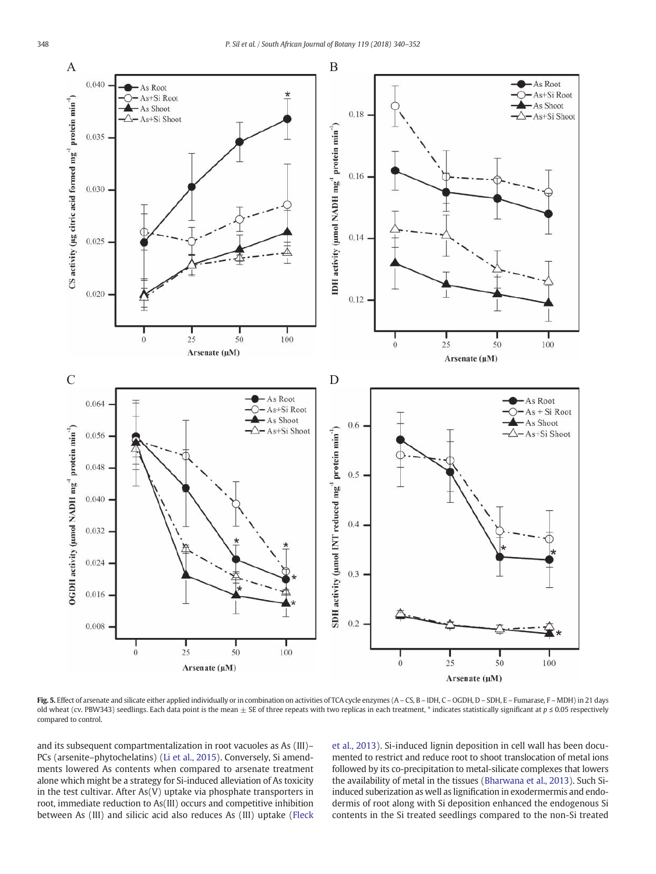

Fig. 5. Effect of arsenate and silicate either applied individually or in combination on activities of TCA cycle enzymes (A - CS, B - IDH, C - OGDH, D - SDH, E - Fumarase, F - MDH) in 21 days old wheat (cv. PBW343) seedlings. Each data point is the mean  $\pm$  SE of three repeats with two replicas in each treatment, \* indicates statistically significant at  $p \le 0.05$  respectively compared to control.

and its subsequent compartmentalization in root vacuoles as As (III)– PCs (arsenite–phytochelatins) (Li et al., 2015). Conversely, Si amendments lowered As contents when compared to arsenate treatment alone which might be a strategy for Si-induced alleviation of As toxicity in the test cultivar. After As(V) uptake via phosphate transporters in root, immediate reduction to As(III) occurs and competitive inhibition between As (III) and silicic acid also reduces As (III) uptake (Fleck et al., 2013). Si-induced lignin deposition in cell wall has been documented to restrict and reduce root to shoot translocation of metal ions followed by its co-precipitation to metal-silicate complexes that lowers the availability of metal in the tissues (Bharwana et al., 2013). Such Siinduced suberization as well as lignification in exodermermis and endodermis of root along with Si deposition enhanced the endogenous Si contents in the Si treated seedlings compared to the non-Si treated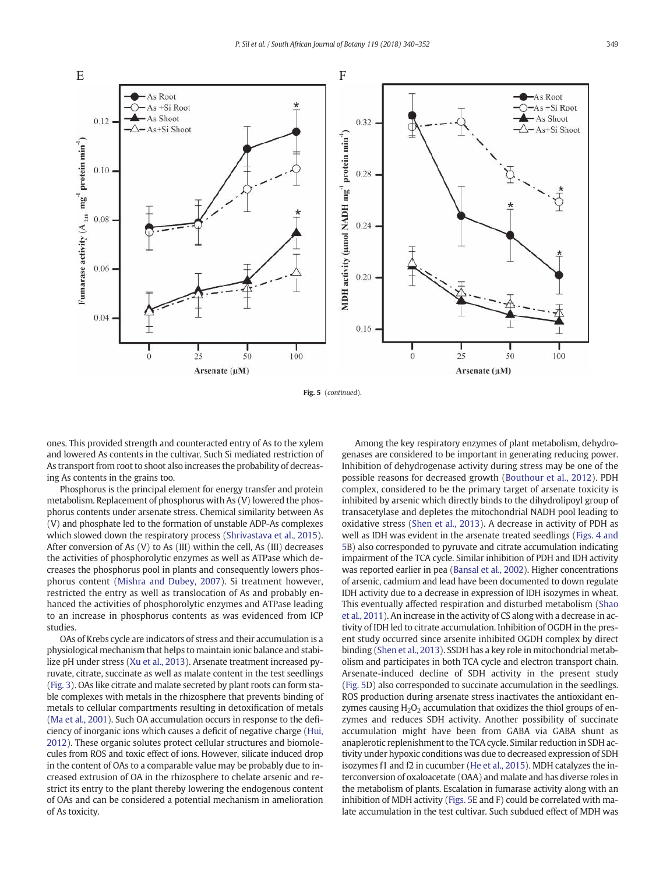

Fig. 5 (*continued*).

ones. This provided strength and counteracted entry of As to the xylem and lowered As contents in the cultivar. Such Si mediated restriction of As transport from root to shoot also increases the probability of decreasing As contents in the grains too.

Phosphorus is the principal element for energy transfer and protein metabolism. Replacement of phosphorus with As (V) lowered the phosphorus contents under arsenate stress. Chemical similarity between As (V) and phosphate led to the formation of unstable ADP-As complexes which slowed down the respiratory process (Shrivastava et al., 2015). After conversion of As (V) to As (III) within the cell, As (III) decreases the activities of phosphorolytic enzymes as well as ATPase which decreases the phosphorus pool in plants and consequently lowers phosphorus content (Mishra and Dubey, 2007). Si treatment however, restricted the entry as well as translocation of As and probably enhanced the activities of phosphorolytic enzymes and ATPase leading to an increase in phosphorus contents as was evidenced from ICP studies.

OAs of Krebs cycle are indicators of stress and their accumulation is a physiological mechanism that helps to maintain ionic balance and stabilize pH under stress (Xu et al., 2013). Arsenate treatment increased pyruvate, citrate, succinate as well as malate content in the test seedlings (Fig. 3). OAs like citrate and malate secreted by plant roots can form stable complexes with metals in the rhizosphere that prevents binding of metals to cellular compartments resulting in detoxification of metals (Ma et al., 2001). Such OA accumulation occurs in response to the deficiency of inorganic ions which causes a deficit of negative charge (Hui, 2012). These organic solutes protect cellular structures and biomolecules from ROS and toxic effect of ions. However, silicate induced drop in the content of OAs to a comparable value may be probably due to increased extrusion of OA in the rhizosphere to chelate arsenic and restrict its entry to the plant thereby lowering the endogenous content of OAs and can be considered a potential mechanism in amelioration of As toxicity.

Among the key respiratory enzymes of plant metabolism, dehydrogenases are considered to be important in generating reducing power. Inhibition of dehydrogenase activity during stress may be one of the possible reasons for decreased growth (Bouthour et al., 2012). PDH complex, considered to be the primary target of arsenate toxicity is inhibited by arsenic which directly binds to the dihydrolipoyl group of transacetylase and depletes the mitochondrial NADH pool leading to oxidative stress (Shen et al., 2013). A decrease in activity of PDH as well as IDH was evident in the arsenate treated seedlings (Figs. 4 and 5B) also corresponded to pyruvate and citrate accumulation indicating impairment of the TCA cycle. Similar inhibition of PDH and IDH activity was reported earlier in pea (Bansal et al., 2002). Higher concentrations of arsenic, cadmium and lead have been documented to down regulate IDH activity due to a decrease in expression of IDH isozymes in wheat. This eventually affected respiration and disturbed metabolism (Shao et al., 2011). An increase in the activity of CS along with a decrease in activity of IDH led to citrate accumulation. Inhibition of OGDH in the present study occurred since arsenite inhibited OGDH complex by direct binding (Shen et al., 2013). SSDH has a key role in mitochondrial metabolism and participates in both TCA cycle and electron transport chain. Arsenate-induced decline of SDH activity in the present study (Fig. 5D) also corresponded to succinate accumulation in the seedlings. ROS production during arsenate stress inactivates the antioxidant enzymes causing  $H_2O_2$  accumulation that oxidizes the thiol groups of enzymes and reduces SDH activity. Another possibility of succinate accumulation might have been from GABA via GABA shunt as anaplerotic replenishment to the TCA cycle. Similar reduction in SDH activity under hypoxic conditions was due to decreased expression of SDH isozymes f1 and f2 in cucumber (He et al., 2015). MDH catalyzes the interconversion of oxaloacetate (OAA) and malate and has diverse roles in the metabolism of plants. Escalation in fumarase activity along with an inhibition of MDH activity (Figs. 5E and F) could be correlated with malate accumulation in the test cultivar. Such subdued effect of MDH was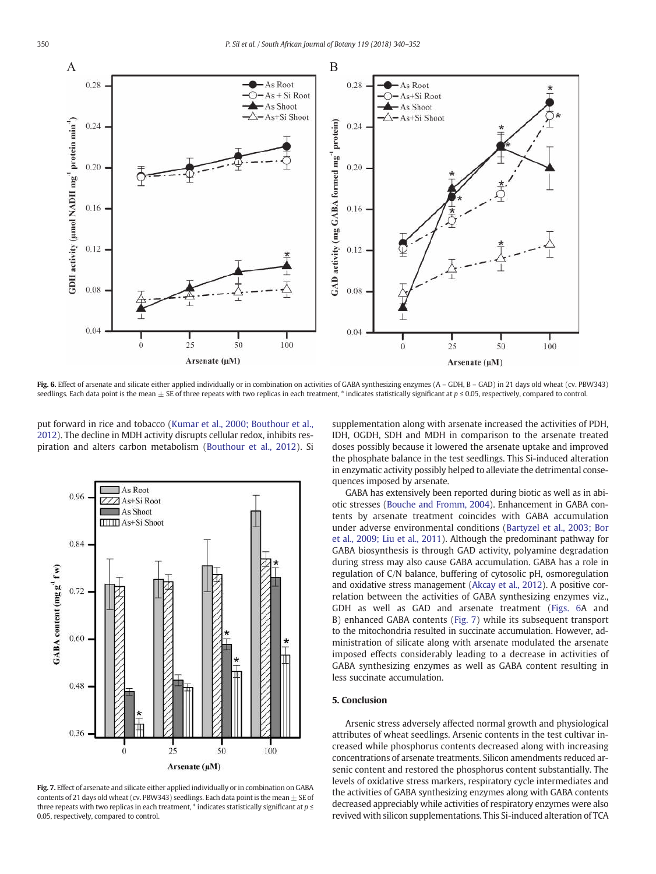

Fig. 6. Effect of arsenate and silicate either applied individually or in combination on activities of GABA synthesizing enzymes (A - GDH, B - GAD) in 21 days old wheat (cv. PBW343) seedlings. Each data point is the mean  $\pm$  SE of three repeats with two replicas in each treatment, \* indicates statistically significant at  $p \le 0.05$ , respectively, compared to control.

put forward in rice and tobacco (Kumar et al., 2000; Bouthour et al., 2012). The decline in MDH activity disrupts cellular redox, inhibits respiration and alters carbon metabolism (Bouthour et al., 2012). Si



Fig. 7. Effect of arsenate and silicate either applied individually or in combination on GABA contents of 21 days old wheat (cv. PBW343) seedlings. Each data point is the mean  $\pm$  SE of three repeats with two replicas in each treatment, \* indicates statistically significant at *p* ≤ 0.05, respectively, compared to control.

supplementation along with arsenate increased the activities of PDH, IDH, OGDH, SDH and MDH in comparison to the arsenate treated doses possibly because it lowered the arsenate uptake and improved the phosphate balance in the test seedlings. This Si-induced alteration in enzymatic activity possibly helped to alleviate the detrimental consequences imposed by arsenate.

GABA has extensively been reported during biotic as well as in abiotic stresses (Bouche and Fromm, 2004). Enhancement in GABA contents by arsenate treatment coincides with GABA accumulation under adverse environmental conditions (Bartyzel et al., 2003; Bor et al., 2009; Liu et al., 2011). Although the predominant pathway for GABA biosynthesis is through GAD activity, polyamine degradation during stress may also cause GABA accumulation. GABA has a role in regulation of C/N balance, buffering of cytosolic pH, osmoregulation and oxidative stress management (Akcay et al., 2012). A positive correlation between the activities of GABA synthesizing enzymes viz., GDH as well as GAD and arsenate treatment (Figs. 6A and B) enhanced GABA contents (Fig. 7) while its subsequent transport to the mitochondria resulted in succinate accumulation. However, administration of silicate along with arsenate modulated the arsenate imposed effects considerably leading to a decrease in activities of GABA synthesizing enzymes as well as GABA content resulting in less succinate accumulation.

# 5. Conclusion

Arsenic stress adversely affected normal growth and physiological attributes of wheat seedlings. Arsenic contents in the test cultivar increased while phosphorus contents decreased along with increasing concentrations of arsenate treatments. Silicon amendments reduced arsenic content and restored the phosphorus content substantially. The levels of oxidative stress markers, respiratory cycle intermediates and the activities of GABA synthesizing enzymes along with GABA contents decreased appreciably while activities of respiratory enzymes were also revived with silicon supplementations. This Si-induced alteration of TCA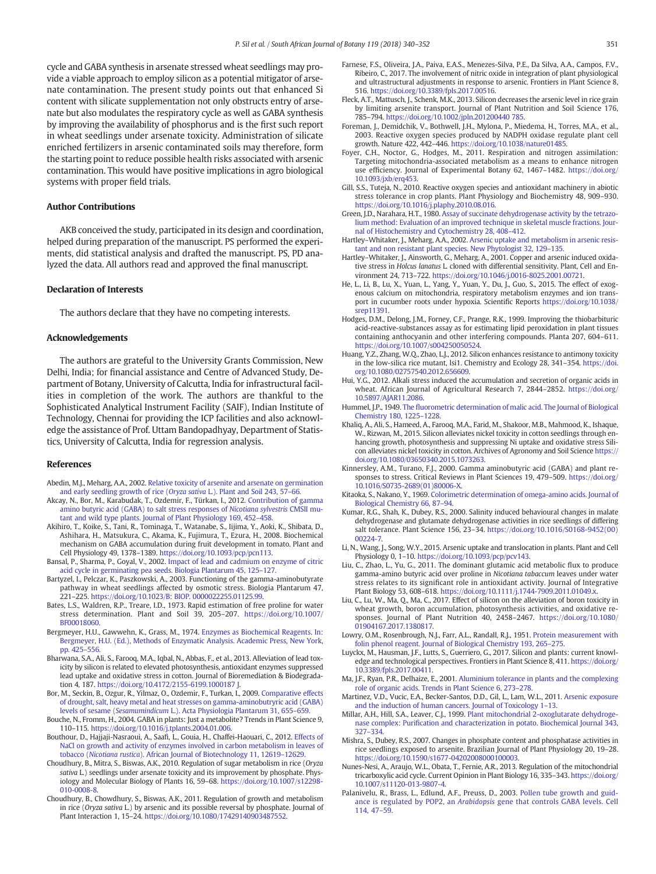cycle and GABA synthesis in arsenate stressed wheat seedlings may provide a viable approach to employ silicon as a potential mitigator of arsenate contamination. The present study points out that enhanced Si content with silicate supplementation not only obstructs entry of arsenate but also modulates the respiratory cycle as well as GABA synthesis by improving the availability of phosphorus and is the first such report in wheat seedlings under arsenate toxicity. Administration of silicate enriched fertilizers in arsenic contaminated soils may therefore, form the starting point to reduce possible health risks associated with arsenic contamination. This would have positive implications in agro biological systems with proper field trials.

### Author Contributions

AKB conceived the study, participated in its design and coordination, helped during preparation of the manuscript. PS performed the experiments, did statistical analysis and drafted the manuscript. PS, PD analyzed the data. All authors read and approved the final manuscript.

# Declaration of Interests

The authors declare that they have no competing interests.

#### Acknowledgements

The authors are grateful to the University Grants Commission, New Delhi, India; for financial assistance and Centre of Advanced Study, Department of Botany, University of Calcutta, India for infrastructural facilities in completion of the work. The authors are thankful to the Sophisticated Analytical Instrument Facility (SAIF), Indian Institute of Technology, Chennai for providing the ICP facilities and also acknowledge the assistance of Prof. Uttam Bandopadhyay, Department of Statistics, University of Calcutta, India for regression analysis.

#### References

- Abedin, M.J., Meharg, A.A., 2002. Relative toxicity of arsenite and arsenate on germination and early seedling growth of rice (*Oryza sativa* L.). Plant and Soil 243, 57–66.
- Akcay, N., Bor, M., Karabudak, T., Ozdemir, F., Türkan, I., 2012. Contribution of gamma amino butyric acid (GABA) to salt stress responses of *Nicotiana sylvestris* CMSII mutant and wild type plants. Journal of Plant Physiology 169, 452–458.
- Akihiro, T., Koike, S., Tani, R., Tominaga, T., Watanabe, S., Iijima, Y., Aoki, K., Shibata, D., Ashihara, H., Matsukura, C., Akama, K., Fujimura, T., Ezura, H., 2008. Biochemical mechanism on GABA accumulation during fruit development in tomato. Plant and Cell Physiology 49, 1378–1389. https://doi.org/10.1093/pcp/pcn113.
- Bansal, P., Sharma, P., Goyal, V., 2002. Impact of lead and cadmium on enzyme of citric acid cycle in germinating pea seeds. Biologia Plantarum 45, 125–127.
- Bartyzel, I., Pelczar, K., Paszkowski, A., 2003. Functioning of the gamma-aminobutyrate pathway in wheat seedlings affected by osmotic stress. Biologia Plantarum 47, 221–225. https://doi.org/10.1023/B: BIOP. 0000022255.01125.99.
- Bates, L.S., Waldren, R.P., Treare, I.D., 1973. Rapid estimation of free proline for water stress determination. Plant and Soil 39, 205–207. https://doi.org/10.1007/ BF00018060.
- Bergmeyer, H.U., Gawwehn, K., Grass, M., 1974. Enzymes as Biochemical Reagents. In: Bergmeyer, H.U. (Ed.), Methods of Enzymatic Analysis. Academic Press, New York, pp. 425–556.
- Bharwana, S.A., Ali, S., Farooq, M.A., Iqbal, N., Abbas, F., et al., 2013. Alleviation of lead toxicity by silicon is related to elevated photosynthesis, antioxidant enzymes suppressed lead uptake and oxidative stress in cotton. Journal of Bioremediation & Biodegradation 4, 187. https://doi.org/10.4172/2155-6199.1000187 J.
- Bor, M., Seckin, B., Ozgur, R., Yilmaz, O., Ozdemir, F., Turkan, I., 2009. Comparative effects of drought, salt, heavy metal and heat stresses on gamma-aminobutryric acid (GABA) levels of sesame (*Sesamumindicum* L.). Acta Physiologia Plantarum 31, 655–659.
- Bouche, N., Fromm, H., 2004. GABA in plants: Just a metabolite? Trends in Plant Science 9, 110–115. https://doi.org/10.1016/j.tplants.2004.01.006.
- Bouthour, D., Hajjaji-Nasraoui, A., Saafi, L., Gouia, H., Chaffei-Haouari, C., 2012. Effects of NaCl on growth and activity of enzymes involved in carbon metabolism in leaves of tobacco (*Nicotiana rustica*). African Journal of Biotechnology 11, 12619–12629.
- Choudhury, B., Mitra, S., Biswas, A.K., 2010. Regulation of sugar metabolism in rice (*Oryza sativa* L.) seedlings under arsenate toxicity and its improvement by phosphate. Physiology and Molecular Biology of Plants 16, 59–68. https://doi.org/10.1007/s12298- 010-0008-8.
- Choudhury, B., Chowdhury, S., Biswas, A.K., 2011. Regulation of growth and metabolism in rice (*Oryza sativa* L.) by arsenic and its possible reversal by phosphate. Journal of Plant Interaction 1, 15–24. https://doi.org/10.1080/17429140903487552.
- Farnese, F.S., Oliveira, J.A., Paiva, E.A.S., Menezes-Silva, P.E., Da Silva, A.A., Campos, F.V., Ribeiro, C., 2017. The involvement of nitric oxide in integration of plant physiological and ultrastructural adjustments in response to arsenic. Frontiers in Plant Science 8, 516. https://doi.org/10.3389/fpls.2017.00516.
- Fleck, A.T., Mattusch, J., Schenk, M.K., 2013. Silicon decreases the arsenic level in rice grain by limiting arsenite transport. Journal of Plant Nutrition and Soil Science 176, 785–794. https://doi.org/10.1002/jpln.201200440 785.
- Foreman, J., Demidchik, V., Bothwell, J.H., Mylona, P., Miedema, H., Torres, M.A., et al., 2003. Reactive oxygen species produced by NADPH oxidase regulate plant cell growth. Nature 422, 442–446. https://doi.org/10.1038/nature01485.
- Foyer, C.H., Noctor, G., Hodges, M., 2011. Respiration and nitrogen assimilation: Targeting mitochondria-associated metabolism as a means to enhance nitrogen use efficiency. Journal of Experimental Botany 62, 1467–1482. https://doi.org/ 10.1093/jxb/erq453.
- Gill, S.S., Tuteja, N., 2010. Reactive oxygen species and antioxidant machinery in abiotic stress tolerance in crop plants. Plant Physiology and Biochemistry 48, 909–930. https://doi.org/10.1016/j.plaphy.2010.08.016.
- Green, J.D., Narahara, H.T., 1980. Assay of succinate dehydrogenase activity by the tetrazolium method: Evaluation of an improved technique in skeletal muscle fractions. Journal of Histochemistry and Cytochemistry 28, 408–412.
- Hartley–Whitaker, J., Meharg, A.A., 2002. Arsenic uptake and metabolism in arsenic resistant and non resistant plant species. New Phytologist 32, 129–135.
- Hartley–Whitaker, J., Ainsworth, G., Meharg, A., 2001. Copper and arsenic induced oxidative stress in *Holcus lanatus* L. cloned with differential sensitivity. Plant, Cell and Environment 24, 713–722. https://doi.org/10.1046/j.0016-8025.2001.00721.
- He, L., Li, B., Lu, X., Yuan, L., Yang, Y., Yuan, Y., Du, J., Guo, S., 2015. The effect of exogenous calcium on mitochondria, respiratory metabolism enzymes and ion transport in cucumber roots under hypoxia. Scientific Reports https://doi.org/10.1038/ srep11391.
- Hodges, D.M., Delong, J.M., Forney, C.F., Prange, R.K., 1999. Improving the thiobarbituric acid-reactive-substances assay as for estimating lipid peroxidation in plant tissues containing anthocyanin and other interfering compounds. Planta 207, 604–611. https://doi.org/10.1007/s004250050524.
- Huang, Y.Z., Zhang, W.Q., Zhao, L.J., 2012. Silicon enhances resistance to antimony toxicity in the low-silica rice mutant, lsi1. Chemistry and Ecology 28, 341–354. https://doi. org/10.1080/02757540.2012.656609.
- Hui, Y.G., 2012. Alkali stress induced the accumulation and secretion of organic acids in wheat. African Journal of Agricultural Research 7, 2844–2852. https://doi.org/ 10.5897/AJAR11.2086.
- Hummel, J.P., 1949. The fluorometric determination of malic acid. The Journal of Biological Chemistry 180, 1225–1228.
- Khaliq, A., Ali, S., Hameed, A., Farooq, M.A., Farid, M., Shakoor, M.B., Mahmood, K., Ishaque, W., Rizwan, M., 2015. Silicon alleviates nickel toxicity in cotton seedlings through enhancing growth, photosynthesis and suppressing Ni uptake and oxidative stress Silicon alleviates nickel toxicity in cotton. Archives of Agronomy and Soil Science https:// doi.org/10.1080/03650340.2015.1073263.
- Kinnersley, A.M., Turano, F.J., 2000. Gamma aminobutyric acid (GABA) and plant responses to stress. Critical Reviews in Plant Sciences 19, 479–509. https://doi.org/ 10.1016/S0735-2689(01)80006-X.
- Kitaoka, S., Nakano, Y., 1969. Colorimetric determination of omega-amino acids. Journal of Biological Chemistry 66, 87–94.
- Kumar, R.G., Shah, K., Dubey, R.S., 2000. Salinity induced behavioural changes in malate dehydrogenase and glutamate dehydrogenase activities in rice seedlings of differing salt tolerance. Plant Science 156, 23–34. https://doi.org/10.1016/S0168-9452(00) 00224-7.
- Li, N., Wang, J., Song, W.Y., 2015. Arsenic uptake and translocation in plants. Plant and Cell Physiology 0, 1–10. https://doi.org/10.1093/pcp/pcv143.
- Liu, C., Zhao, L., Yu, G., 2011. The dominant glutamic acid metabolic flux to produce gamma-amino butyric acid over proline in *Nicotiana tabaccum* leaves under water stress relates to its significant role in antioxidant activity. Journal of Integrative Plant Biology 53, 608–618. https://doi.org/10.1111/j.1744-7909.2011.01049.x.
- Liu, C., Lu, W., Ma, Q., Ma, C., 2017. Effect of silicon on the alleviation of boron toxicity in wheat growth, boron accumulation, photosynthesis activities, and oxidative responses. Journal of Plant Nutrition 40, 2458–2467. https://doi.org/10.1080/ 01904167.2017.1380817.
- Lowry, O.M., Rosenbrough, N.J., Farr, A.L., Randall, R.J., 1951. Protein measurement with folin phenol reagent. Journal of Biological Chemistry 193, 265–275.
- Luyckx, M., Hausman, J.F., Lutts, S., Guerriero, G., 2017. Silicon and plants: current knowledge and technological perspectives. Frontiers in Plant Science 8, 411. https://doi.org/ 10.3389/fpls.2017.00411.
- Ma, J.F., Ryan, P.R., Delhaize, E., 2001. Aluminium tolerance in plants and the complexing role of organic acids. Trends in Plant Science 6, 273–278.
- Martinez, V.D., Vucic, E.A., Becker-Santos, D.D., Gil, L., Lam, W.L., 2011. Arsenic exposure and the induction of human cancers. Journal of Toxicology 1–13.
- Millar, A.H., Hill, S.A., Leaver, C.J., 1999. Plant mitochondrial 2-oxoglutarate dehydrogenase complex: Purification and characterization in potato. Biochemical Journal 343, 327–334.
- Mishra, S., Dubey, R.S., 2007. Changes in phosphate content and phosphatase activities in rice seedlings exposed to arsenite. Brazilian Journal of Plant Physiology 20, 19–28. https://doi.org/10.1590/s1677-04202008000100003.
- Nunes-Nesi, A., Araujo, W.L., Obata, T., Fernie, A.R., 2013. Regulation of the mitochondrial tricarboxylic acid cycle. Current Opinion in Plant Biology 16, 335–343. https://doi.org/ 10.1007/s11120-013-9807-4.
- Palanivelu, R., Brass, L., Edlund, A.F., Preuss, D., 2003. Pollen tube growth and guidance is regulated by POP2, an *Arabidopsis* gene that controls GABA levels. Cell 114, 47–59.